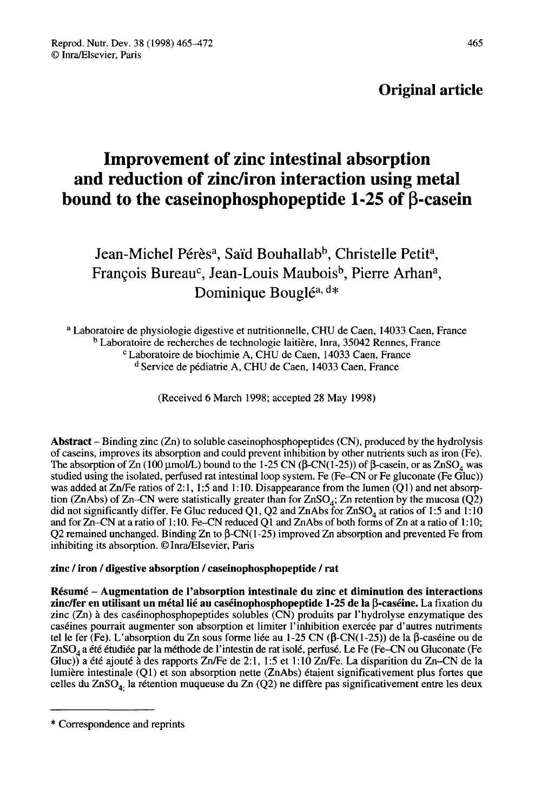### Original article

# Improvement of zinc intestinal absorption and reduction of zinc/iron interaction using metal bound to the caseinophosphopeptide 1-25 of β-casein d **reduction of zinc/iron interaction using m**<br>nd to the caseinophosphopeptide 1-25 of β-c<br>Jean-Michel Pérèsª, Saïd Bouhallab<sup>b</sup>, Christelle Petit<sup>8</sup><br>François Bureau<sup>c</sup>, Jean-Louis Maubois<sup>b</sup>, Pierre Arhan

## Jean-Michel Pérès<sup>a</sup>, Saïd Bouhallab<sup>b</sup>, Christelle Petit<sup>a</sup>, François Bureau<sup>c</sup>, Jean-Louis Maubois<sup>b</sup>, Pierre Arhan<sup>a</sup>, Dominique Bouglé<sup>a, d\*</sup>

<sup>a</sup> Laboratoire de physiologie digestive et nutritionnelle, CHU de Caen, 14033 Caen, France<br><sup>b</sup> Laboratoire de recherches de technologie laitière, Inra, 35042 Rennes, France<br><sup>c</sup> Laboratoire de biochimie A, CHU de Caen, 140 <sup>d</sup> Service de pédiatrie A, CHU de Caen, 14033 Caen, France

(Received 6 March 1998; accepted 28 May 1998)

Abstract  $-$  Binding zinc  $(Zn)$  to soluble caseinophosphopeptides  $(CN)$ , produced by the hydrolysis of caseins, improves its absorption and could prevent inhibition by other nutrients such as iron (Fe).<br>The absorption of  $Zn (100 \mu mol/L)$  bound to the 1-25 CN ( $\beta$ -CN(1-25)) of  $\beta$ -casein, or as  $ZnSO<sub>A</sub>$  was **Abstract** – Binding zinc (Zn) to soluble caseinophosphopeptides (CN), produced by the hydrolysis of caseins, improves its absorption and could prevent inhibition by other nutrients such as iron (Fe). The absorption of Zn was added at  $Zn/Fe$  ratios of 2:1, 1:5 and 1:10. Disappearance from the lumen (Q1) and net absorp-The absorption of Zn (100 µmol/L) bound to the 1-25 CN (p-CN(1-25)) of p-casein, or as ZnSO<sub>4</sub> was studied using the isolated, perfused rat intestinal loop system. Fe (Fe-CN or Fe gluconate (Fe Gluc)) was added at Zn/Fe r was added at Zn/Fe ratios of 2:1, 1:5 and 1:10. Disappearance from the lumen (Q1) and net absorption (ZnAbs) of Zn-CN were statistically greater than for ZnSO<sub>4</sub>; Zn retention by the mucosa (Q2) did not significantly diff and for Zn-CN at a ratio of 1:10. Fe-CN reduced Q1 and ZnAbs of both forms of Zn at a ratio of 1:10; Q2 remained unchanged. Binding Zn to  $\beta$ -CN(1-25) improved Zn absorption and prevented Fe from inhibiting its absorption. © Inra/Elsevier, Paris

#### zinc / iron / digestive absorption / caseinophosphopeptide / rat

Résumé - Augmentation de l'absorption intestinale du zinc et diminution des interactions zinc/fer en utilisant un métal lié au caséinophosphopeptide 1-25 de la <sup>8</sup>-caséine. La fixation du zinc (Zn) à des caséinophosphopeptides solubles (CN) produits par l'hydrolyse enzymatique des caséines pourrait augmenter son absorption et limiter l'inhibition exercée par d'autres nutriments tel le fer (Fe). L'absorption du Zn sous forme liée au 1-25 CN (β-CN(1-25)) de la β-caséine ou de znase ines pourrait augmenter son absorption et limiter l'inhibition exercée par d'autres nutriments<br>tel le fer (Fe). L'absorption du Zn sous forme liée au 1-25 CN (β-CN(1-25)) de la β-caséine ou de<br>ZnSO<sub>4</sub> a été étudiée Gluc)) a été ajouté à des rapports Zn/Fe de 2:1, 1:5 et 1:10 Zn/Fe. La disparition du Zn-CN de la lumière intestinale (Q1) et son absorption nette (ZnAbs) étaient significativement plus fortes que celles du ZnSO<sub>4</sub>. la rétention muqueuse du Zn  $(Q2)$  ne diffère pas significativement entre les deux

<sup>\*</sup> Correspondence and reprints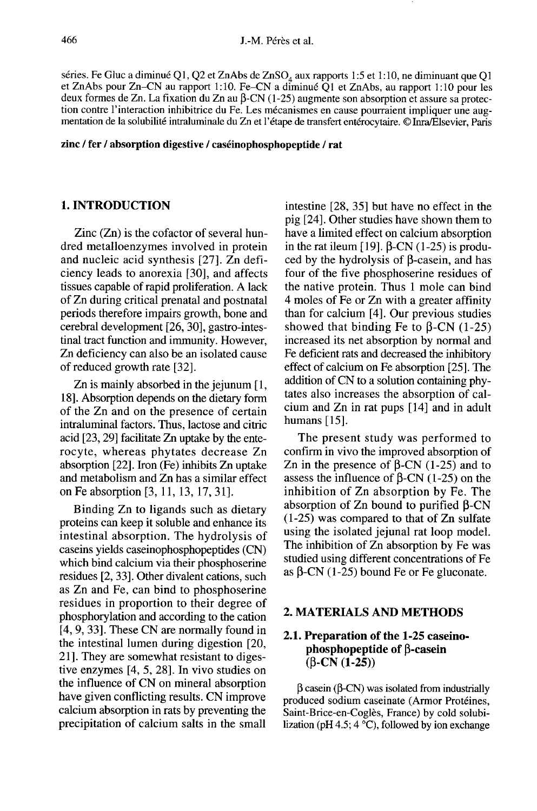S.-M. Pérès et al.<br>1.-M. Pérès et al.<br>1.5 et 1:10, ne diminuant que Q1, Q2 et ZnAbs de ZnSO<sub>4</sub> aux rapports 1:5 et 1:10, ne diminuant que Q1 et ZnAbs pour Zn-CN au rapport 1:10. Fe-CN a diminué Q1 et ZnAbs, au rapport 1:10 pour les deux formes de Zn. La fixation du Zn au  $\beta$ -CN (1-25) augmente son absorption et assure sa protection contre l'interaction inhibitrice du Fe. Les mécanismes en cause pourraient impliquer une augmentation de la solubilité intraluminale du Zn et l'étape de transfert entérocytaire. © Inra/Elsevier, Paris

zinc / fer / absorption digestive / caséinophosphopeptide / rat

#### 1. INTRODUCTION

Zinc (Zn) is the cofactor of several hundred metalloenzymes involved in protein and nucleic acid synthesis [27]. Zn deficiency leads to anorexia [30], and affects tissues capable of rapid proliferation. A lack of Zn during critical prenatal and postnatal periods therefore impairs growth, bone and cerebral development [26, 30], gastro-intestinal tract function and immunity. However, Zn deficiency can also be an isolated cause of reduced growth rate [32].

Zn is mainly absorbed in the jejunum [1, 18]. Absorption depends on the dietary form of the Zn and on the presence of certain intraluminal factors. Thus, lactose and citric acid [23, 29] facilitate Zn uptake by the enterocyte, whereas phytates decrease Zn absorption [22]. Iron (Fe) inhibits Zn uptake and metabolism and Zn has a similar effect on Fe absorption [3, 11, 13, 17, 31].

Binding Zn to ligands such as dietary proteins can keep it soluble and enhance its intestinal absorption. The hydrolysis of caseins yields caseinophosphopeptides (CN) which bind calcium via their phosphoserine residues [2, 33]. Other divalent cations, such as Zn and Fe, can bind to phosphoserine residues in proportion to their degree of phosphorylation and according to the cation [4, 9, 33]. These CN are normally found in the intestinal lumen during digestion [20, 21]. They are somewhat resistant to digestive enzymes [4, 5, 28]. In vivo studies on the influence of CN on mineral absorption have given conflicting results. CN improve calcium absorption in rats by preventing the precipitation of calcium salts in the small

intestine [28, 35] but have no effect in the pig [24]. Other studies have shown them to have a limited effect on calcium absorption in the rat ileum [19].  $\beta$ -CN (1-25) is produced by the hydrolysis of  $\beta$ -casein, and has four of the five phosphoserine residues of the native protein. Thus 1 mole can bind 4 moles of Fe or Zn with a greater affinity than for calcium [4]. Our previous studies showed that binding Fe to  $\beta$ -CN (1-25) increased its net absorption by normal and Fe deficient rats and decreased the inhibitory effect of calcium on Fe absorption [25]. The addition of CN to a solution containing phy tates also increases the absorption of calcium and Zn in rat pups [14] and in adult humans [15].

The present study was performed to confirm in vivo the improved absorption of Zn in the presence of  $\beta$ -CN (1-25) and to assess the influence of  $\beta$ -CN (1-25) on the inhibition of Zn absorption by Fe. The absorption of  $Zn$  bound to purified  $\beta$ -CN (1-25) was compared to that of Zn sulfate using the isolated jejunal rat loop model. The inhibition of Zn absorption by Fe was studied using different concentrations of Fe as  $\beta$ -CN (1-25) bound Fe or Fe gluconate.

#### 2. MATERIALS AND METHODS

#### 2.1. Preparation of the 1-25 caseinophosphopeptide of B-casein  $(B-CN (1-25))$

 $\beta$  casein ( $\beta$ -CN) was isolated from industrially produced sodium caseinate (Armor Protéines, Saint-Brice-en-Coglès, France) by cold solubilization (pH 4.5;  $4^{\circ}$ C), followed by ion exchange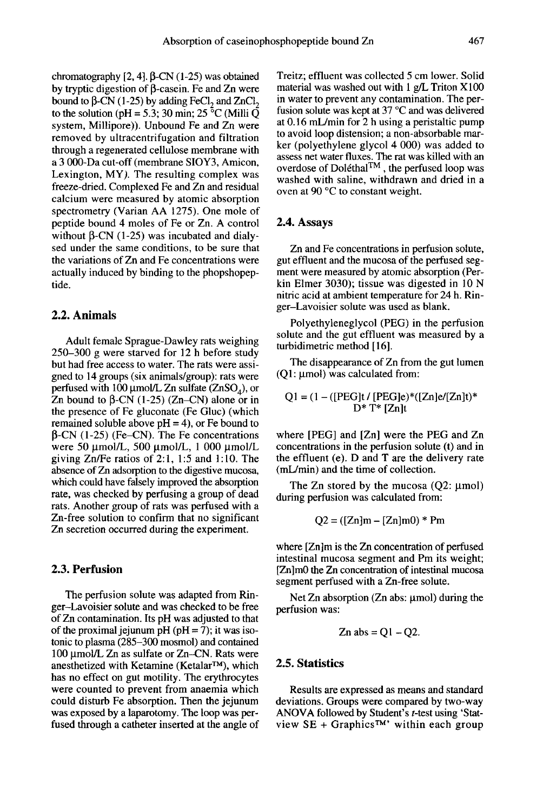chromatography  $[2, 4]$ .  $\beta$ -CN (1-25) was obtained by tryptic digestion of  $\beta$ -casein. Fe and Zn were chromatography [2, 4].  $\beta$ -CN (1-25) was obtained<br>by tryptic digestion of  $\beta$ -casein. Fe and Zn were<br>bound to  $\beta$ -CN (1-25) by adding FeCl<sub>2</sub> and ZnCl<sub>2</sub><br>to the solution (pH = 5.3; 30 min; 25 <sup>°</sup>C (Milli Q system, Millipore)). Unbound Fe and Zn were removed by ultracentrifugation and filtration through a regenerated cellulose membrane with a 3 000-Da cut-off (membrane SIOY3, Amicon, Lexington, MY). The resulting complex was freeze-dried. Complexed Fe and Zn and residual calcium were measured by atomic absorption spectrometry (Varian AA 1275). One mole of peptide bound 4 moles of Fe or Zn. A control without  $\beta$ -CN (1-25) was incubated and dialysed under the same conditions, to be sure that the variations of Zn and Fe concentrations were actually induced by binding to the phopshopeptide.

#### 2.2. Animals

Adult female Sprague-Dawley rats weighing 250-300 g were starved for 12 h before study but had free access to water. The rats were assigned to 14 groups (six animals/group): rats were perfused with 100  $\mu$ mol/L Zn sulfate (ZnSO<sub>4</sub>), or 250–300 g were starved for 12 h before study<br>but had free access to water. The rats were assi-<br>gned to 14 groups (six animals/group): rats were<br>perfused with 100  $\mu$ mol/L Zn sulfate (ZnSO<sub>4</sub>), or<br>Zn bound to  $\beta$ -CN (1-2 the presence of Fe gluconate (Fe Gluc) (which remained soluble above  $pH = 4$ ), or Fe bound to  $\beta$ -CN (1-25) (Fe-CN). The Fe concentrations were 50  $\mu$ mol/L, 500  $\mu$ mol/L, 1 000  $\mu$ mol/L giving Zn/Fe ratios of 2:1, 1:5 and 1:10. The absence of Zn adsorption to the digestive mucosa, which could have falsely improved the absorption rate, was checked by perfusing a group of dead rats. Another group of rats was perfused with a Zn-free solution to confirm that no significant Zn secretion occurred during the experiment.

#### 2.3. Perfusion

The perfusion solute was adapted from Ringer-Lavoisier solute and was checked to be free of Zn contamination. Its pH was adjusted to that of the proximal jejunum pH ( $pH = 7$ ); it was isotonic to plasma (285–300 mosmol) and contained<br>100 µmol/L Zn as sulfate or Zn–CN. Rats were<br>anesthetized with Ketamine (Ketalar<sup>TM</sup>), which<br>has no effect on gut motility. The erythrocytes 100 µmol/L Zn as sulfate or Zn-CN. Rats were<br>anesthetized with Ketamine (Ketalar<sup>TM</sup>), which has no effect on gut motility. The erythrocytes were counted to prevent from anaemia which could disturb Fe absorption. Then the jejunum was exposed by a laparotomy. The loop was perfused through a catheter inserted at the angle of Treitz; effluent was collected 5 cm lower. Solid material was washed out with 1 g/L Triton X 100 in water to prevent any contamination. The perfusion solute was kept at 37 °C and was delivered at 0.16 mL/min for 2 h using a peristaltic pump to avoid loop distension; a non-absorbable marker (polyethylene glycol 4 000) was added to assess net water fluxes. The rat was killed with an **EXECUTE ASSEMALL EXECUTE:**<br>
Net (polyethylene glycol 4 000) was added to<br>
assess net water fluxes. The rat was killed with an<br>
overdose of Doléthal<sup>TM</sup>, the perfused loop was<br>
washed with saline, withdrawn and dried in a washed with saline, withdrawn and dried in a oven at 90 °C to constant weight.

#### 2.4. Assays

Zn and Fe concentrations in perfusion solute, gut effluent and the mucosa of the perfused seg ment were measured by atomic absorption (Perkin Elmer 3030); tissue was digested in 10 N nitric acid at ambient temperature for 24 h. Ringer-Lavoisier solute was used as blank.

Polyethyleneglycol (PEG) in the perfusion solute and the gut effluent was measured by a turbidimetric method [16].

The disappearance of Zn from the gut lumen  $(O1:$   $\mu$ mol) was calculated from:

$$
Q1 = (1 - ([PEG]t / [PEG]e) * ([Zn]e/[Zn]t) * D* T* [Zn]t
$$

where [PEG] and [Zn] were the PEG and Zn concentrations in the perfusion solute (t) and in the effluent (e). D and T are the delivery rate (mL/min) and the time of collection.

The Zn stored by the mucosa  $(Q2: \mu \text{mol})$ during perfusion was calculated from:

$$
Q2 = ([Zn]m - [Zn]m0) * Pm
$$

where [Zn]m is the Zn concentration of perfused intestinal mucosa segment and Pm its weight; [Zn]m0 the Zn concentration of intestinal mucosa segment perfused with a Zn-free solute.

Net Zn absorption (Zn abs:  $\mu$ mol) during the perfusion was:

$$
Zn \, abs = Q1 - Q2.
$$

#### 2.5. Statistics

Results are expressed as means and standard deviations. Groups were compared by two-way ANOVA followed by Student's  $t$ -test using 'Statview  $SE + Graphics^{TM}$  within each group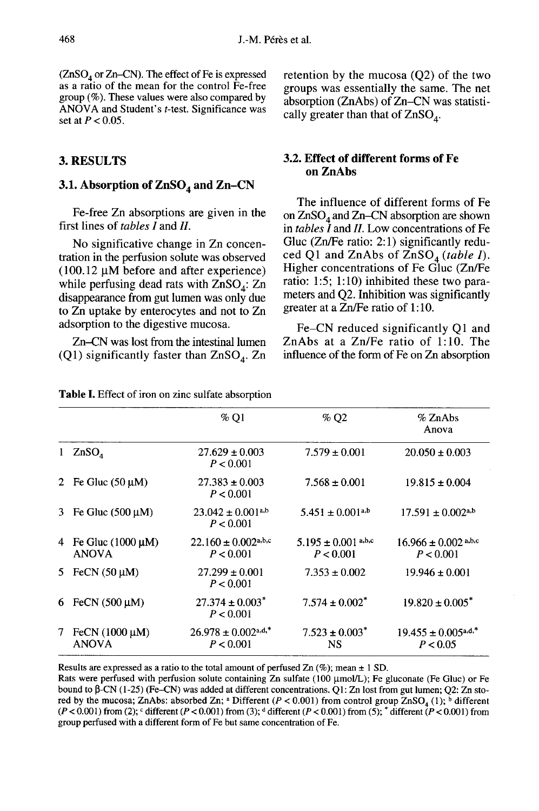468 J.-M. Pérès et al.<br>(ZnSO<sub>4</sub> or Zn-CN). The effect of Fe is expressed retent<br>as a ratio of the mean for the control Fe-free  $\frac{1}{2}$ group (%). These values were also compared by ANOVA and Student's t-test. Significance was set at  $P < 0.05$ .

#### 3. RESULTS

#### 3.1. Absorption of  $\text{ZnSO}_4$  and  $\text{Zn-CN}$

Fe-free Zn absorptions are given in the first lines of tables I and II.

No significative change in Zn concentration in the perfusion solute was observed  $(100.12 \mu M)$  before and after experience) tration in the perfusion solute was observed<br>
(100.12  $\mu$ M before and after experience)<br>
(100.12  $\mu$ M before and after experience)<br>
(all Equator Higher concentrations of Fe Gluc (Zn/Fe<br>
(Zn/Fe<br>
while perfusing dead rats disappearance from gut lumen was only due to Zn uptake by enterocytes and not to Zn adsorption to the digestive mucosa.

Zn-CN was lost from the intestinal lumen (Q1) significantly faster than  $ZnSO<sub>A</sub>$ . Zn

retention by the mucosa (Q2) of the two groups was essentially the same. The net<br>absorption (ZnAbs) of Zn–CN was statistically greater than that of  $ZnSO_4$ . absorption (ZnAbs) of Zn–CN was statistically greater than that of  $ZnSO_4$ .

#### 3.2. Effect of different forms of Fe on ZnAbs

The influence of different forms of Fe on  $ZnSO<sub>4</sub>$  and  $Zn$ –CN absorption are shown on Zaso<sub>4</sub> and Za-Civ absorption are shown<br>in *tables I* and *II*. Low concentrations of Fe<br>Gluc (Zn/Fe ratio: 2:1) significantly redu-<br>ced Q1 and ZnAbs of ZnSO<sub>4</sub> (*table I*).<br>Higher concentrations of Fe Gluc (Zn/Fe Gluc (Zn/Fe ratio: 2:1) significantly redu-Higher concentrations of Fe Gluc (Zn/Fe ratio: 1:5; 1:10) inhibited these two para meters and Q2. Inhibition was significantly greater at a Zn/Fe ratio of 1:10.

Fe-CN reduced significantly Q1 and ZnAbs at a Zn/Fe ratio of 1:10. The influence of the form of Fe on Zn absorption

|    |                                        | %Q1                                              | %Q2                                  | % ZnAbs<br>Anova                                 |
|----|----------------------------------------|--------------------------------------------------|--------------------------------------|--------------------------------------------------|
|    | ZnSO <sub>4</sub>                      | $27.629 \pm 0.003$<br>P < 0.001                  | $7.579 \pm 0.001$                    | $20.050 \pm 0.003$                               |
| 2  | Fe Gluc $(50 \mu M)$                   | $27.383 \pm 0.003$<br>P < 0.001                  | $7.568 \pm 0.001$                    | $19.815 \pm 0.004$                               |
| 3  | Fe Gluc $(500 \mu M)$                  | $23.042 \pm 0.001^{a,b}$<br>P < 0.001            | $5.451 \pm 0.001$ <sup>a,b</sup>     | $17.591 \pm 0.002$ <sup>a,b</sup>                |
| 4  | Fe Gluc $(1000 \mu M)$<br><b>ANOVA</b> | $22.160 \pm 0.002$ <sup>a,b,c</sup><br>P < 0.001 | $5.195 \pm 0.001$ a,b,c<br>P < 0.001 | $16.966 \pm 0.002$ <sup>a,b,c</sup><br>P < 0.001 |
|    | 5 FeCN $(50 \mu M)$                    | $27.299 \pm 0.001$<br>P < 0.001                  | $7.353 \pm 0.002$                    | $19.946 \pm 0.001$                               |
| 6. | FeCN $(500 \mu M)$                     | $27.374 \pm 0.003^*$<br>P < 0.001                | $7.574 \pm 0.002^*$                  | $19.820 \pm 0.005^*$                             |
| 7  | FeCN $(1000 \mu M)$<br><b>ANOVA</b>    | $26.978 \pm 0.002$ a,d,*<br>P < 0.001            | $7.523 \pm 0.003^*$<br><b>NS</b>     | $19.455 \pm 0.005$ <sup>a,d,*</sup><br>P < 0.05  |

Table I. Effect of iron on zinc sulfate absorption

Results are expressed as a ratio to the total amount of perfused Zn  $(\%)$ ; mean  $\pm$  1 SD.

Rats were perfused with perfusion solute containing Zn sulfate (100 µmol/L); Fe gluconate (Fe Gluc) or Fe bound to  $\beta$ -CN (1-25) (Fe-CN) was added at different concentrations. Q1: Zn lost from gut lumen; Q2: Zn stored by the mucosa; ZnAbs: absorbed Zn; <sup>a</sup> Different ( $P < 0.001$ ) from control group ZnSO, (1); <sup>b</sup> different  $(P < 0.001)$  from (2);  $\epsilon$  different  $(P < 0.001)$  from (3);  $\epsilon$  different  $(P < 0.001)$  from (5);  $\epsilon$  different  $(P < 0.001)$  from group perfused with a different form of Fe but same concentration of Fe.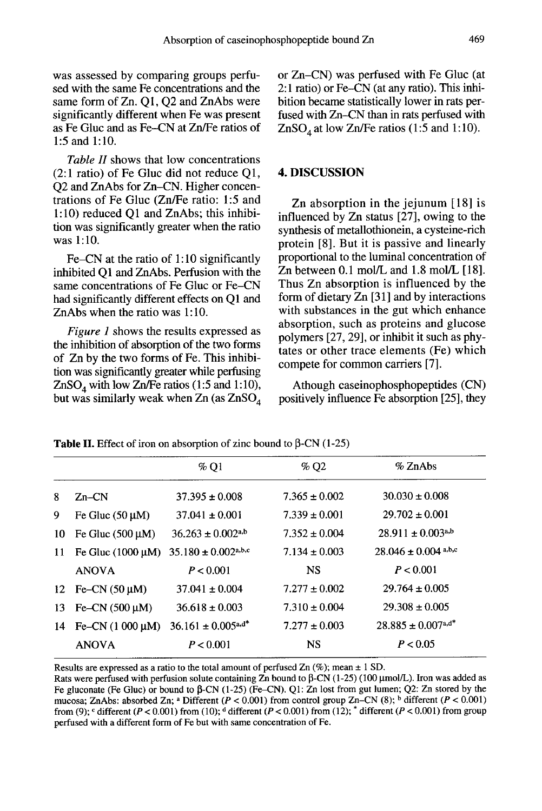was assessed by comparing groups perfused with the same Fe concentrations and the same form of Zn. Q1, Q2 and ZnAbs were<br>significantly different when Fe was present as Fe Gluc and as Fe-CN at Zn/Fe ratios of 1:5 and 1:10.

Table II shows that low concentrations (2:1 ratio) of Fe Gluc did not reduce Q1, Q2 and ZnAbs for Zn-CN. Higher concentrations of Fe Gluc (Zn/Fe ratio: 1:5 and 1:10) reduced O1 and ZnAbs; this inhibition was significantly greater when the ratio was 1:10.

Fe-CN at the ratio of 1:10 significantly inhibited Q1 and ZnAbs. Perfusion with the same concentrations of Fe Gluc or Fe-CN had significantly different effects on Ql and ZnAbs when the ratio was 1:10.

Figure 1 shows the results expressed as the inhibition of absorption of the two forms of Zn by the two forms of Fe. This inhibition was significantly greater while perfusing of Zn by the two forms of Fe. This inhibi-<br>tion was significantly greater while perfusing<br>ZnSO<sub>4</sub> with low Zn/Fe ratios (1:5 and 1:10),<br>but was similarly weak when Zn (as ZnSO<sub>4</sub> tion was significantly greater while perfusing  $ZnSO_4$  with low  $Zn/Fe$  ratios (1:5 and 1:10), but was similarly weak when  $Zn$  (as  $ZnSO_4$ 

or Zn-CN) was perfused with Fe Gluc (at 2:1 ratio) or Fe-CN (at any ratio). This inhibition became statistically lower in rats perfused with Zn–CN than in rats perfused with  $ZnSO<sub>A</sub>$  at low Zn/Fe ratios (1:5 and 1:10). 2:1 ratio) or Fe-CN (at any ratio). This inh<br>2:1 ratio) or Fe-CN (at any ratio). This inh<br>bition became statistically lower in rats per<br>fused with Zn-CN than in rats perfused wit<br>ZnSO<sub>4</sub> at low Zn/Fe ratios (1:5 and 1:10)

#### 4. DISCUSSION

Zn absorption in the jejunum [18] is influenced by Zn status [27], owing to the synthesis of metallothionein, a cysteine-rich protein [8]. But it is passive and linearly proportional to the luminal concentration of Zn between 0.1 mol/L and 1.8 mol/L [18]. Thus Zn absorption is influenced by the form of dietary Zn [31] and by interactions with substances in the gut which enhance absorption, such as proteins and glucose polymers [27, 29], or inhibit it such as phy tates or other trace elements (Fe) which compete for common carriers [7].

Athough caseinophosphopeptides (CN) positively influence Fe absorption [25], they

|    |                        | $%$ O1                            | %Q2               | $%$ ZnAbs                          |
|----|------------------------|-----------------------------------|-------------------|------------------------------------|
| 8  | $Zn-CN$                | $37.395 \pm 0.008$                | $7.365 \pm 0.002$ | $30.030 \pm 0.008$                 |
| 9  | Fe Gluc $(50 \mu M)$   | $37.041 \pm 0.001$                | $7.339 \pm 0.001$ | $29.702 \pm 0.001$                 |
| 10 | Fe Gluc $(500 \mu M)$  | $36.263 \pm 0.002$ <sup>a,b</sup> | $7.352 \pm 0.004$ | $28.911 \pm 0.003^{a,b}$           |
| 11 | Fe Gluc $(1000 \mu M)$ | $35.180 \pm 0.002^{\text{a,b,c}}$ | $7.134 \pm 0.003$ | $28.046 \pm 0.004$ a,b,c           |
|    | <b>ANOVA</b>           | P < 0.001                         | <b>NS</b>         | P < 0.001                          |
|    | 12 Fe-CN $(50 \mu M)$  | $37.041 \pm 0.004$                | $7.277 \pm 0.002$ | $29.764 \pm 0.005$                 |
| 13 | Fe-CN $(500 \mu M)$    | $36.618 \pm 0.003$                | $7.310 \pm 0.004$ | $29.308 \pm 0.005$                 |
| 14 | Fe-CN $(1\ 000 \mu M)$ | $36.161 \pm 0.005$ a,d*           | $7.277 \pm 0.003$ | $28.885 \pm 0.007$ <sup>a,d*</sup> |
|    | <b>ANOVA</b>           | P < 0.001                         | <b>NS</b>         | P < 0.05                           |
|    |                        |                                   |                   |                                    |

**Table II.** Effect of iron on absorption of zinc bound to  $\beta$ -CN (1-25)

Results are expressed as a ratio to the total amount of perfused  $\text{Zn}$  (%); mean  $\pm$  1 SD.

Rats were perfused with perfusion solute containing  $\overline{Z}$ n bound to  $\overline{\beta}$ -CN (1-25) (100 µmol/L). Iron was added as Fe gluconate (Fe Gluc) or bound to  $\beta$ -CN (1-25) (Fe-CN). Q1: Zn lost from gut lumen; Q2: Zn stored by the mucosa; ZnAbs: absorbed Zn; <sup>a</sup> Different ( $P < 0.001$ ) from control group Zn–CN (8); <sup>b</sup> different ( $P < 0.001$ ) from (9); c different ( $P < 0.001$ ) from (10); d different ( $P < 0.001$ ) from (12);  $*$  different ( $P < 0.001$ ) from group perfused with a different form of Fe but with same concentration of Fe.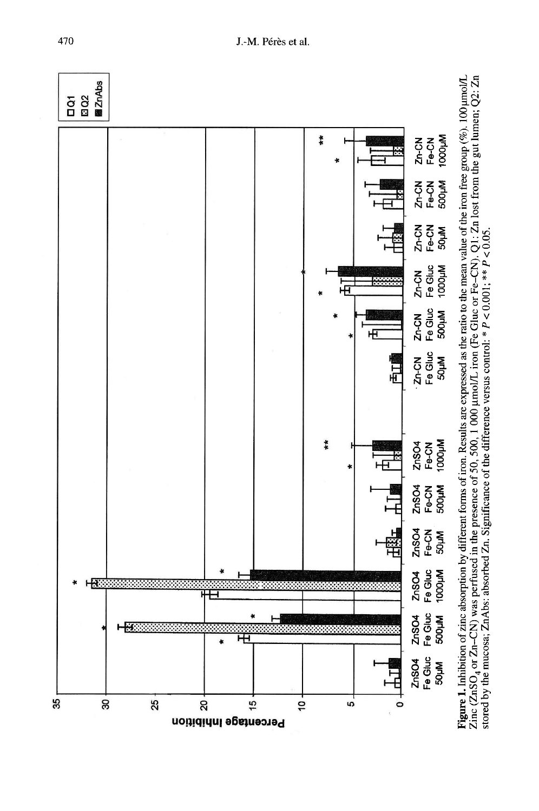

**Figure 1.** Inhibition of zinc absorption by different forms of iron. Results are expressed as the ratio to the mean value of the iron free group (%). 100 µmol/L Zinc (ZnSO<sub>4</sub> or Zn-CN) was perfused in the presence of 50,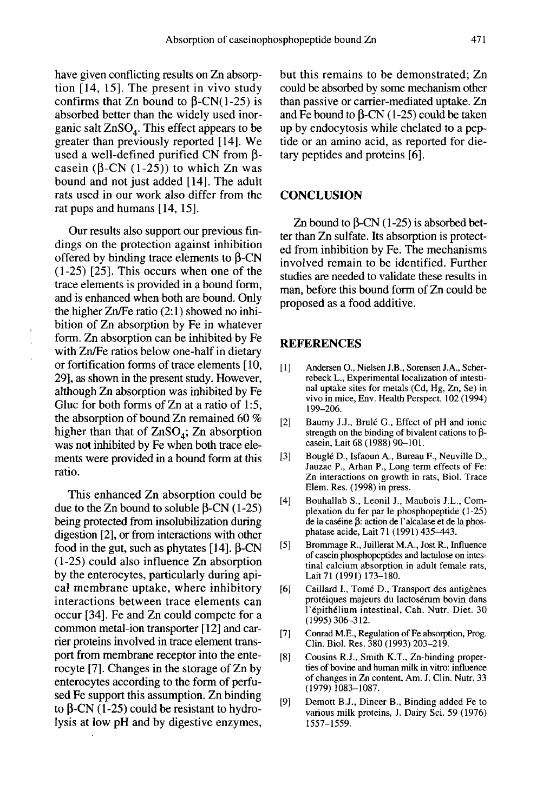have given conflicting results on Zn absorption [14, 15]. The present in vivo study confirms that Zn bound to  $\beta$ -CN(1-25) is absorbed better than the widely used inorganic salt  $ZnSO<sub>A</sub>$ . This effect appears to be greater than previously reported [14]. We used a well-defined purified CN from  $\beta$ casein ( $\beta$ -CN (1-25)) to which Zn was bound and not just added [14]. The adult rats used in our work also differ from the rat pups and humans [14, 15].

Our results also support our previous findings on the protection against inhibition offered by binding trace elements to  $\beta$ -CN (1-25) [25]. This occurs when one of the trace elements is provided in a bound form, and is enhanced when both are bound. Only the higher Zn/Fe ratio (2:1) showed no inhibition of Zn absorption by Fe in whatever form. Zn absorption can be inhibited by Fe with Zn/Fe ratios below one-half in dietary or fortification forms of trace elements [10, 29], as shown in the present study. However, although Zn absorption was inhibited by Fe Gluc for both forms of Zn at a ratio of 1:5, the absorption of bound Zn remained 60 % higher than that of  $ZnSO_4$ ; Zn absorption was not inhibited by Fe when both trace elements were provided in a bound form at this ratio.

This enhanced Zn absorption could be due to the  $Zn$  bound to soluble  $\beta$ -CN (1-25) being protected from insolubilization during digestion [2], or from interactions with other food in the gut, such as phytates  $[14]$ .  $\beta$ -CN (1-25) could also influence Zn absorption by the enterocytes, particularly during apical membrane uptake, where inhibitory interactions between trace elements can occur [34]. Fe and Zn could compete for a common metal-ion transporter [12] and carrier proteins involved in trace element transport from membrane receptor into the enterocyte [7]. Changes in the storage of Zn by enterocytes according to the form of perfused Fe support this assumption. Zn binding to  $\beta$ -CN (1-25) could be resistant to hydrolysis at low pH and by digestive enzymes,

but this remains to be demonstrated; Zn could be absorbed by some mechanism other than passive or carrier-mediated uptake. Zn and Fe bound to  $\beta$ -CN (1-25) could be taken up by endocytosis while chelated to a peptide or an amino acid, as reported for dietary peptides and proteins [6].

#### **CONCLUSION**

Zn bound to  $\beta$ -CN (1-25) is absorbed better than Zn sulfate. Its absorption is protected from inhibition by Fe. The mechanisms involved remain to be identified. Further studies are needed to validate these results in man, before this bound form of Zn could be proposed as a food additive.

#### **REFERENCES**

- [1] ] Andersen O., Nielsen J.B., Sorensen J.A., Scherrebeck L., Experimental localization of intestinal uptake sites for metals (Cd, Hg, Zn, Se) in vivo in mice, Env. Health Perspect 102 (1994) 199-206.
- [2] Baumy J.J., Brulé G., Effect of pH and ionic strength on the binding of bivalent cations to  $\beta$ casein, Lait 68 (1988) 90-101.
- [3] Bouglé D., Isfaoun A., Bureau F., Neuville D., Jauzac P., Arhan P., Long term effects of Fe: Zn interactions on growth in rats, Biol. Trace Elem. Res. (1998) in press.
- [4] Bouhallab S., Leonil J., Maubois J.L., Complexation du fer par le phosphopeptide (1-25) de la caséine  $\beta$ : action de l'alcalase et de la phosphatase acide, Lait 71 (1991) 435-443.
- [5] Brommage R., Juillerat M.A., Jost R., Influence of casein phosphopeptides and lactulose on intestinal calcium absorption in adult female rats, Lait 71 (1991) 173-180.
- [6] Caillard I., Tomé D., Transport des antigènes protéiques majeurs du lactosérum bovin dans 1'epithelium intestinal, Cah. Nutr. Diet. 30 (1995) 306-312.
- [7] Conrad M.E., Regulation of Fe absorption, Prog. Clin. Biol. Res. 380 (1993) 203-219.
- [8] Cousins R.J., Smith K.T., Zn-binding properties of bovine and human milk in vitro: influence of changes in Zn content, Am. J. Clin. Nutr. 33 ( 1979) 1083-1087.
- [9] Demott B.J., Dincer B., Binding added Fe to various milk proteins, J. Dairy Sci. 59 (1976) 1557-1559.